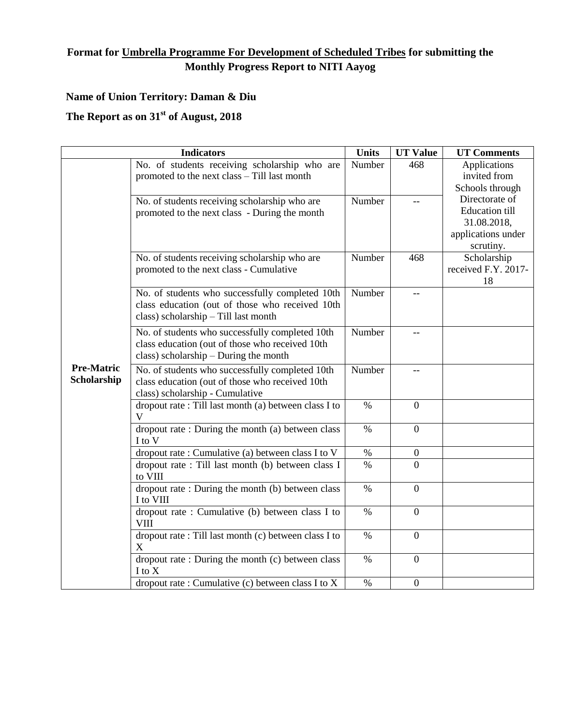## **Format for Umbrella Programme For Development of Scheduled Tribes for submitting the Monthly Progress Report to NITI Aayog**

## **Name of Union Territory: Daman & Diu**

## **The Report as on 31st of August, 2018**

|                                  | <b>Indicators</b>                                                                                                                           | <b>Units</b> | <b>UT Value</b>  | <b>UT Comments</b>                                                                        |
|----------------------------------|---------------------------------------------------------------------------------------------------------------------------------------------|--------------|------------------|-------------------------------------------------------------------------------------------|
| <b>Pre-Matric</b><br>Scholarship | No. of students receiving scholarship who are<br>promoted to the next class - Till last month                                               | Number       | 468              | Applications<br>invited from<br>Schools through                                           |
|                                  | No. of students receiving scholarship who are<br>promoted to the next class - During the month                                              | Number       |                  | Directorate of<br><b>Education till</b><br>31.08.2018,<br>applications under<br>scrutiny. |
|                                  | No. of students receiving scholarship who are<br>promoted to the next class - Cumulative                                                    | Number       | 468              | Scholarship<br>received F.Y. 2017-<br>18                                                  |
|                                  | No. of students who successfully completed 10th<br>class education (out of those who received 10th<br>class) scholarship - Till last month  | Number       | $-$              |                                                                                           |
|                                  | No. of students who successfully completed 10th<br>class education (out of those who received 10th<br>class) scholarship - During the month | Number       |                  |                                                                                           |
|                                  | No. of students who successfully completed 10th<br>class education (out of those who received 10th<br>class) scholarship - Cumulative       | Number       | $-$              |                                                                                           |
|                                  | dropout rate : Till last month (a) between class I to<br>V                                                                                  | $\%$         | $\mathbf{0}$     |                                                                                           |
|                                  | dropout rate: During the month (a) between class<br>I to V                                                                                  | $\%$         | $\mathbf{0}$     |                                                                                           |
|                                  | dropout rate : Cumulative (a) between class I to V                                                                                          | $\%$         | $\boldsymbol{0}$ |                                                                                           |
|                                  | dropout rate : Till last month (b) between class I<br>to VIII                                                                               | $\%$         | $\overline{0}$   |                                                                                           |
|                                  | dropout rate: During the month (b) between class<br>I to VIII                                                                               | $\%$         | $\mathbf{0}$     |                                                                                           |
|                                  | dropout rate: Cumulative (b) between class I to<br><b>VIII</b>                                                                              | $\%$         | $\mathbf{0}$     |                                                                                           |
|                                  | dropout rate: Till last month (c) between class I to<br>X                                                                                   | $\%$         | $\mathbf{0}$     |                                                                                           |
|                                  | dropout rate : During the month (c) between class<br>I to X                                                                                 | $\%$         | $\mathbf{0}$     |                                                                                           |
|                                  | dropout rate: Cumulative (c) between class I to X                                                                                           | $\%$         | $\mathbf{0}$     |                                                                                           |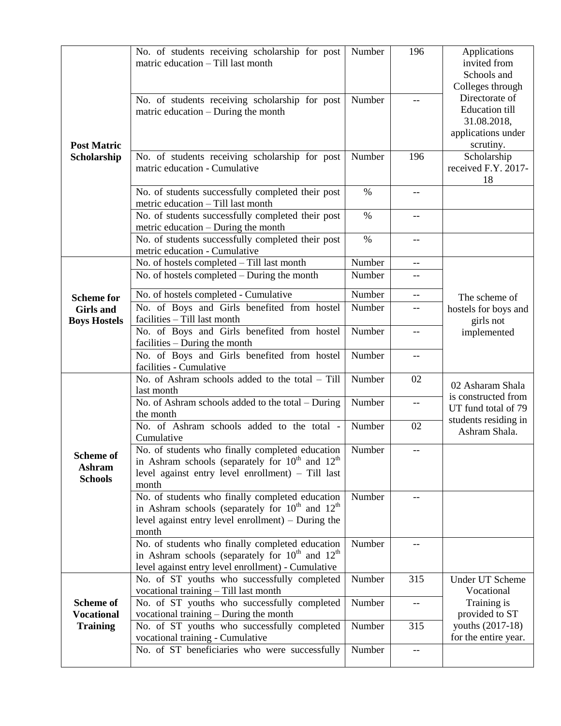|                                                          | No. of students receiving scholarship for post<br>matric education - Till last month                                                                                          | Number | 196               | Applications<br>invited from<br>Schools and<br>Colleges through                           |
|----------------------------------------------------------|-------------------------------------------------------------------------------------------------------------------------------------------------------------------------------|--------|-------------------|-------------------------------------------------------------------------------------------|
| <b>Post Matric</b><br>Scholarship                        | No. of students receiving scholarship for post<br>matric education – During the month                                                                                         | Number |                   | Directorate of<br><b>Education</b> till<br>31.08.2018,<br>applications under<br>scrutiny. |
|                                                          | No. of students receiving scholarship for post<br>matric education - Cumulative                                                                                               | Number | 196               | Scholarship<br>received F.Y. 2017-<br>18                                                  |
|                                                          | No. of students successfully completed their post<br>metric education - Till last month                                                                                       | $\%$   |                   |                                                                                           |
|                                                          | No. of students successfully completed their post<br>metric education – During the month                                                                                      | $\%$   | $-$               |                                                                                           |
|                                                          | No. of students successfully completed their post<br>metric education - Cumulative                                                                                            | $\%$   | --                |                                                                                           |
|                                                          | No. of hostels completed - Till last month                                                                                                                                    | Number |                   |                                                                                           |
|                                                          | No. of hostels completed – During the month                                                                                                                                   | Number |                   |                                                                                           |
| <b>Scheme for</b>                                        | No. of hostels completed - Cumulative                                                                                                                                         | Number |                   | The scheme of                                                                             |
| <b>Girls</b> and<br><b>Boys Hostels</b>                  | No. of Boys and Girls benefited from hostel<br>facilities - Till last month                                                                                                   | Number | --                | hostels for boys and<br>girls not                                                         |
|                                                          | No. of Boys and Girls benefited from hostel<br>facilities – During the month                                                                                                  | Number | --                | implemented                                                                               |
|                                                          | No. of Boys and Girls benefited from hostel<br>facilities - Cumulative                                                                                                        | Number | $-$               |                                                                                           |
|                                                          | No. of Ashram schools added to the total - Till<br>last month                                                                                                                 | Number | 02                | 02 Asharam Shala                                                                          |
|                                                          | No. of Ashram schools added to the total – During<br>the month                                                                                                                | Number | $\qquad \qquad -$ | is constructed from<br>UT fund total of 79                                                |
| <b>Scheme of</b><br><b>Ashram</b><br><b>Schools</b>      | No. of Ashram schools added to the total -<br>Cumulative                                                                                                                      | Number | 02                | students residing in<br>Ashram Shala.                                                     |
|                                                          | No. of students who finally completed education<br>in Ashram schools (separately for $10^{th}$ and $12^{th}$<br>level against entry level enrollment) - Till last<br>month    | Number |                   |                                                                                           |
|                                                          | No. of students who finally completed education<br>in Ashram schools (separately for $10^{th}$ and $12^{th}$<br>level against entry level enrollment) $-$ During the<br>month | Number |                   |                                                                                           |
|                                                          | No. of students who finally completed education<br>in Ashram schools (separately for $10^{th}$ and $12^{th}$<br>level against entry level enrollment) - Cumulative            | Number |                   |                                                                                           |
| <b>Scheme of</b><br><b>Vocational</b><br><b>Training</b> | No. of ST youths who successfully completed<br>vocational training - Till last month                                                                                          | Number | 315               | <b>Under UT Scheme</b><br>Vocational                                                      |
|                                                          | No. of ST youths who successfully completed<br>vocational training - During the month                                                                                         | Number |                   | Training is<br>provided to ST                                                             |
|                                                          | No. of ST youths who successfully completed<br>vocational training - Cumulative                                                                                               | Number | 315               | youths (2017-18)<br>for the entire year.                                                  |
|                                                          | No. of ST beneficiaries who were successfully                                                                                                                                 | Number |                   |                                                                                           |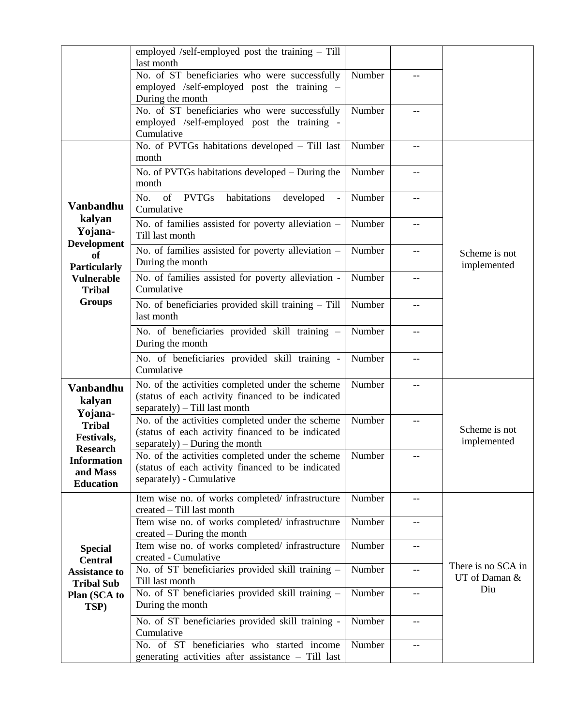|                                                                                                                                               | employed /self-employed post the training - Till<br>last month                                                                          |        |     |                              |
|-----------------------------------------------------------------------------------------------------------------------------------------------|-----------------------------------------------------------------------------------------------------------------------------------------|--------|-----|------------------------------|
|                                                                                                                                               | No. of ST beneficiaries who were successfully<br>employed /self-employed post the training -<br>During the month                        | Number |     |                              |
|                                                                                                                                               | No. of ST beneficiaries who were successfully<br>employed /self-employed post the training -<br>Cumulative                              | Number |     |                              |
|                                                                                                                                               | No. of PVTGs habitations developed - Till last<br>month                                                                                 | Number | $-$ |                              |
|                                                                                                                                               | No. of PVTGs habitations developed - During the<br>month                                                                                | Number | $-$ |                              |
| <b>Vanbandhu</b><br>kalyan                                                                                                                    | No.<br>of PVTGs<br>habitations<br>developed<br>Cumulative                                                                               | Number |     |                              |
| Yojana-<br><b>Development</b>                                                                                                                 | No. of families assisted for poverty alleviation -<br>Till last month                                                                   | Number | $-$ |                              |
| of<br><b>Particularly</b>                                                                                                                     | No. of families assisted for poverty alleviation -<br>During the month                                                                  | Number | --  | Scheme is not<br>implemented |
| <b>Vulnerable</b><br><b>Tribal</b><br><b>Groups</b>                                                                                           | No. of families assisted for poverty alleviation -<br>Cumulative                                                                        | Number | $-$ |                              |
|                                                                                                                                               | No. of beneficiaries provided skill training - Till<br>last month                                                                       | Number | --  |                              |
|                                                                                                                                               | No. of beneficiaries provided skill training -<br>During the month                                                                      | Number | --  |                              |
|                                                                                                                                               | No. of beneficiaries provided skill training -<br>Cumulative                                                                            | Number |     |                              |
| <b>Vanbandhu</b><br>kalyan<br>Yojana-<br><b>Tribal</b><br>Festivals,<br><b>Research</b><br><b>Information</b><br>and Mass<br><b>Education</b> | No. of the activities completed under the scheme<br>(status of each activity financed to be indicated<br>separately) - Till last month  | Number |     |                              |
|                                                                                                                                               | No. of the activities completed under the scheme<br>(status of each activity financed to be indicated<br>separately) – During the month | Number |     | Scheme is not<br>implemented |
|                                                                                                                                               | No. of the activities completed under the scheme<br>(status of each activity financed to be indicated<br>separately) - Cumulative       | Number |     |                              |
| <b>Special</b><br><b>Central</b><br><b>Assistance to</b><br><b>Tribal Sub</b><br>Plan (SCA to<br>TSP)                                         | Item wise no. of works completed/infrastructure<br>created – Till last month                                                            | Number | --  |                              |
|                                                                                                                                               | Item wise no. of works completed/ infrastructure<br>created – During the month                                                          | Number |     |                              |
|                                                                                                                                               | Item wise no. of works completed/ infrastructure<br>created - Cumulative                                                                | Number | --  | There is no SCA in           |
|                                                                                                                                               | No. of ST beneficiaries provided skill training -<br>Till last month                                                                    | Number | --  | UT of Daman &<br>Diu         |
|                                                                                                                                               | No. of ST beneficiaries provided skill training -<br>During the month                                                                   | Number | --  |                              |
|                                                                                                                                               | No. of ST beneficiaries provided skill training -<br>Cumulative                                                                         | Number | --  |                              |
|                                                                                                                                               | No. of ST beneficiaries who started income<br>generating activities after assistance - Till last                                        | Number | --  |                              |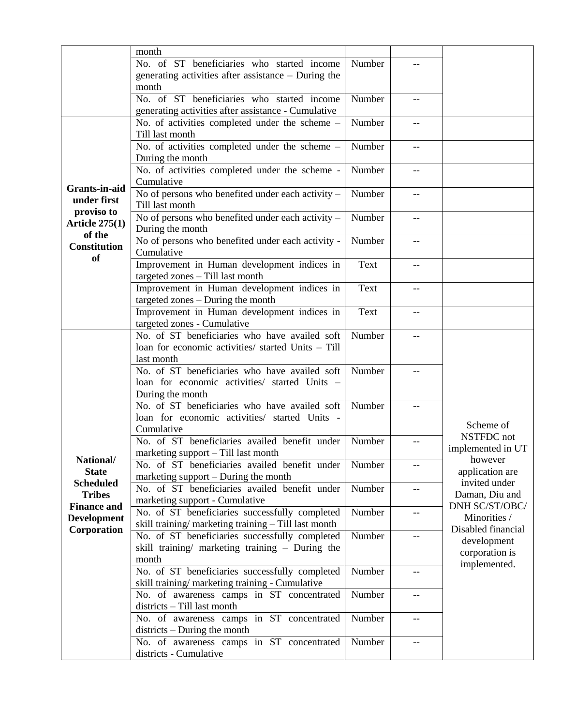|                                     | month                                                            |        |                          |                                  |
|-------------------------------------|------------------------------------------------------------------|--------|--------------------------|----------------------------------|
|                                     | No. of ST beneficiaries who started income                       | Number |                          |                                  |
|                                     | generating activities after assistance $-$ During the            |        |                          |                                  |
|                                     | month                                                            |        |                          |                                  |
|                                     | No. of ST beneficiaries who started income                       | Number | $-$                      |                                  |
|                                     | generating activities after assistance - Cumulative              |        |                          |                                  |
|                                     | No. of activities completed under the scheme -                   | Number | --                       |                                  |
|                                     | Till last month                                                  |        |                          |                                  |
|                                     | No. of activities completed under the scheme -                   | Number | $-$                      |                                  |
|                                     | During the month                                                 |        |                          |                                  |
|                                     | No. of activities completed under the scheme -                   | Number |                          |                                  |
| <b>Grants-in-aid</b>                | Cumulative                                                       |        |                          |                                  |
| under first                         | No of persons who benefited under each activity -                | Number | $\qquad \qquad -$        |                                  |
| proviso to                          | Till last month                                                  |        |                          |                                  |
| Article $275(1)$                    | No of persons who benefited under each activity -                | Number | $\overline{\phantom{m}}$ |                                  |
| of the                              | During the month                                                 |        |                          |                                  |
| <b>Constitution</b>                 | No of persons who benefited under each activity -                | Number |                          |                                  |
| <b>of</b>                           | Cumulative                                                       |        |                          |                                  |
|                                     | Improvement in Human development indices in                      | Text   | --                       |                                  |
|                                     | targeted zones - Till last month                                 |        |                          |                                  |
|                                     | Improvement in Human development indices in                      | Text   | $- -$                    |                                  |
|                                     | targeted zones - During the month                                |        |                          |                                  |
|                                     | Improvement in Human development indices in                      | Text   | $-$                      |                                  |
|                                     | targeted zones - Cumulative                                      |        |                          |                                  |
|                                     | No. of ST beneficiaries who have availed soft                    | Number |                          |                                  |
|                                     | loan for economic activities/ started Units - Till<br>last month |        |                          |                                  |
|                                     | No. of ST beneficiaries who have availed soft                    | Number |                          |                                  |
|                                     | loan for economic activities/ started Units -                    |        |                          |                                  |
|                                     | During the month                                                 |        |                          |                                  |
|                                     | No. of ST beneficiaries who have availed soft                    | Number |                          |                                  |
|                                     | loan for economic activities/ started Units -                    |        |                          |                                  |
|                                     | Cumulative                                                       |        |                          | Scheme of                        |
|                                     | No. of ST beneficiaries availed benefit under                    | Number |                          | NSTFDC not                       |
|                                     | marketing support $-$ Till last month                            |        |                          | implemented in UT                |
| National/                           | No. of ST beneficiaries availed benefit under                    | Number | $-$                      | however                          |
| <b>State</b>                        | marketing support – During the month                             |        |                          | application are                  |
| <b>Scheduled</b>                    | No. of ST beneficiaries availed benefit under                    | Number |                          | invited under                    |
| <b>Tribes</b><br><b>Finance and</b> | marketing support - Cumulative                                   |        |                          | Daman, Diu and<br>DNH SC/ST/OBC/ |
|                                     | No. of ST beneficiaries successfully completed                   | Number | --                       | Minorities /                     |
| <b>Development</b><br>Corporation   | skill training/marketing training - Till last month              |        |                          | Disabled financial               |
|                                     | No. of ST beneficiaries successfully completed                   | Number | $\qquad \qquad -$        | development                      |
|                                     | skill training/ marketing training - During the                  |        |                          | corporation is                   |
|                                     | month                                                            |        |                          | implemented.                     |
|                                     | No. of ST beneficiaries successfully completed                   | Number |                          |                                  |
|                                     | skill training/marketing training - Cumulative                   |        |                          |                                  |
|                                     | No. of awareness camps in ST concentrated                        | Number |                          |                                  |
|                                     | districts - Till last month                                      |        |                          |                                  |
|                                     | No. of awareness camps in ST concentrated                        | Number | $-$                      |                                  |
|                                     | $districts - During the month$                                   |        |                          |                                  |
|                                     | No. of awareness camps in ST concentrated                        | Number | $-$                      |                                  |
|                                     | districts - Cumulative                                           |        |                          |                                  |